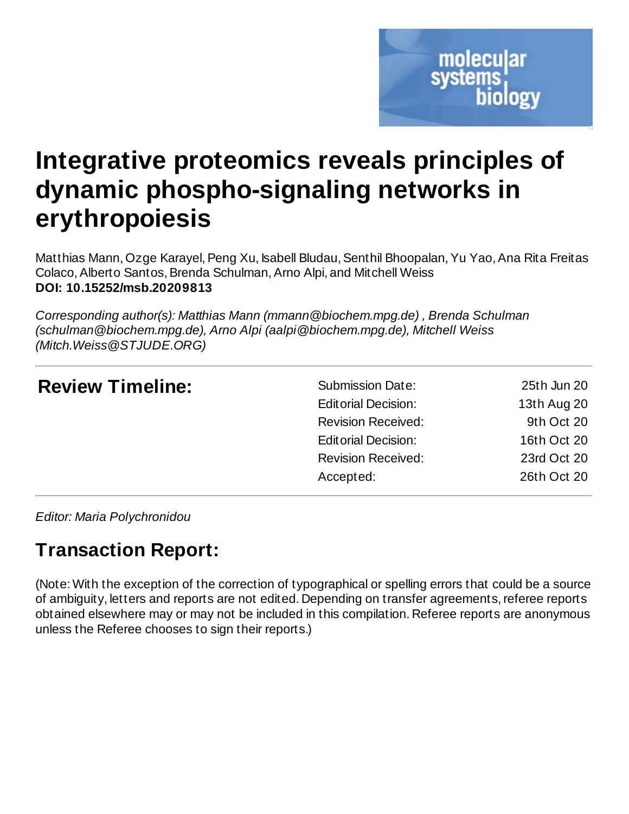# **Integrative proteomics reveals principles of dynamic phospho-signaling networks in erythropoiesis**

Matthias Mann, Ozge Karayel, Peng Xu, Isabell Bludau, Senthil Bhoopalan, Yu Yao, Ana Rita Freitas Colaco, Alberto Santos, Brenda Schulman, Arno Alpi, and Mitchell Weiss **DOI: 10.15252/msb.20209813**

*Corresponding author(s): Matthias Mann (mmann@biochem.mpg.de) , Brenda Schulman (schulman@biochem.mpg.de), Arno Alpi (aalpi@biochem.mpg.de), Mitchell Weiss (Mitch.Weiss@STJUDE.ORG)*

| <b>Review Timeline:</b> | <b>Submission Date:</b>    | 25th Jun 20 |
|-------------------------|----------------------------|-------------|
|                         | <b>Editorial Decision:</b> | 13th Aug 20 |
|                         | <b>Revision Received:</b>  | 9th Oct 20  |
|                         | <b>Editorial Decision:</b> | 16th Oct 20 |
|                         | <b>Revision Received:</b>  | 23rd Oct 20 |
|                         | Accepted:                  | 26th Oct 20 |
|                         |                            |             |

*Editor: Maria Polychronidou*

# **Transaction Report:**

(Note: With the exception of the correction of typographical or spelling errors that could be a source of ambiguity, letters and reports are not edited. Depending on transfer agreements,referee reports obtained elsewhere may or may not be included in this compilation. Referee reports are anonymous unless the Referee chooses to sign their reports.)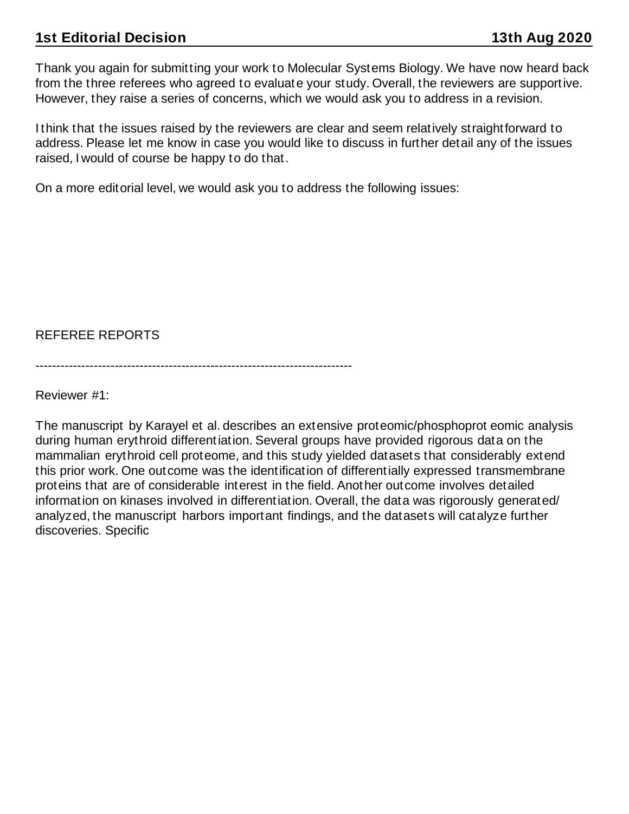Thank you again for submitting your work to Molecular Systems Biology. We have now heard back from the three referees who agreed to evaluate your study. Overall, the reviewers are supportive. However, they raise a series of concerns, which we would ask you to address in a revision.

I think that the issues raised by the reviewers are clear and seem relatively straightforward to address. Please let me know in case you would like to discuss in further detail any of the issues raised, I would of course be happy to do that.

On a more editorial level, we would ask you to address the following issues:

REFEREE REPORTS

----------------------------------------------------------------------------

Reviewer #1:

The manuscript by Karayel et al. describes an extensive proteomic/phosphoprot eomic analysis during human erythroid differentiation. Several groups have provided rigorous data on the mammalian erythroid cell proteome, and this study yielded datasets that considerably extend this prior work. One outcome was the identification of differentially expressed transmembrane proteins that are of considerable interest in the field. Another outcome involves detailed information on kinases involved in differentiation. Overall, the data was rigorously generated/ analyzed, the manuscript harbors important findings, and the datasets will catalyze further discoveries. Specific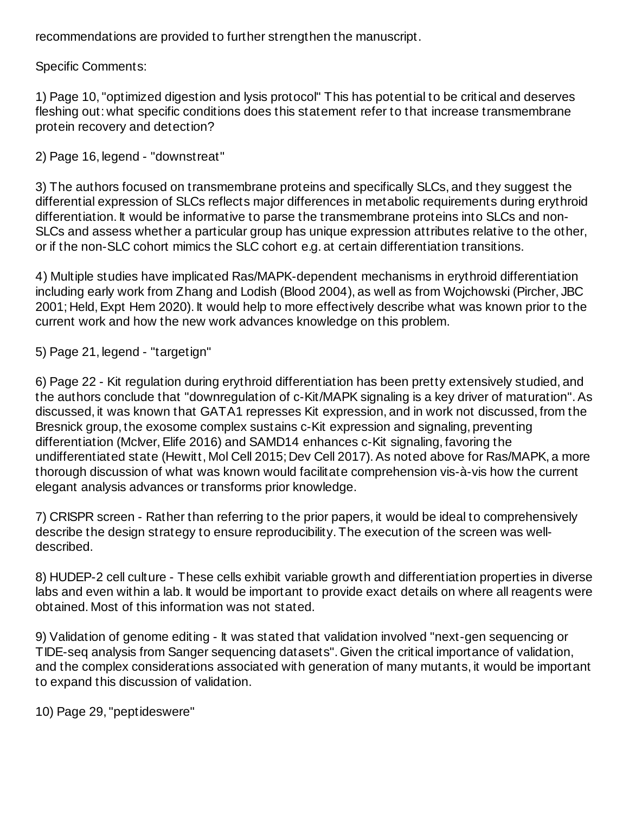recommendations are provided to further strengthen the manuscript.

Specific Comments:

1) Page 10, "optimized digestion and lysis protocol" This has potential to be critical and deserves fleshing out: what specific conditions does this statement refer to that increase transmembrane protein recovery and detection?

2) Page 16, legend - "downstreat"

3) The authors focused on transmembrane proteins and specifically SLCs, and they suggest the differential expression of SLCs reflects major differences in metabolic requirements during erythroid differentiation. It would be informative to parse the transmembrane proteins into SLCs and non-SLCs and assess whether a particular group has unique expression attributes relative to the other, or if the non-SLC cohort mimics the SLC cohort e.g. at certain differentiation transitions.

4) Multiple studies have implicated Ras/MAPK-dependent mechanisms in erythroid differentiation including early work from Zhang and Lodish (Blood 2004), as well as from Wojchowski (Pircher, JBC 2001; Held, Expt Hem 2020). It would help to more effectively describe what was known prior to the current work and how the new work advances knowledge on this problem.

5) Page 21, legend - "targetign"

6) Page 22 - Kit regulation during erythroid differentiation has been pretty extensively studied, and the authors conclude that "downregulation of c-Kit/MAPK signaling is a key driver of maturation". As discussed, it was known that GATA1 represses Kit expression, and in work not discussed, from the Bresnick group, the exosome complex sustains c-Kit expression and signaling, preventing differentiation (McIver, Elife 2016) and SAMD14 enhances c-Kit signaling, favoring the undifferentiated state (Hewitt, Mol Cell 2015; Dev Cell 2017). As noted above for Ras/MAPK, a more thorough discussion of what was known would facilitate comprehension vis-à-vis how the current elegant analysis advances or transforms prior knowledge.

7) CRISPR screen - Rather than referring to the prior papers, it would be ideal to comprehensively describe the design strategy to ensure reproducibility. The execution of the screen was welldescribed.

8) HUDEP-2 cell culture - These cells exhibit variable growth and differentiation properties in diverse labs and even within a lab. It would be important to provide exact details on where all reagents were obtained. Most of this information was not stated.

9) Validation of genome editing - It was stated that validation involved "next-gen sequencing or TIDE-seq analysis from Sanger sequencing datasets". Given the critical importance of validation, and the complex considerations associated with generation of many mutants, it would be important to expand this discussion of validation.

10) Page 29, "peptideswere"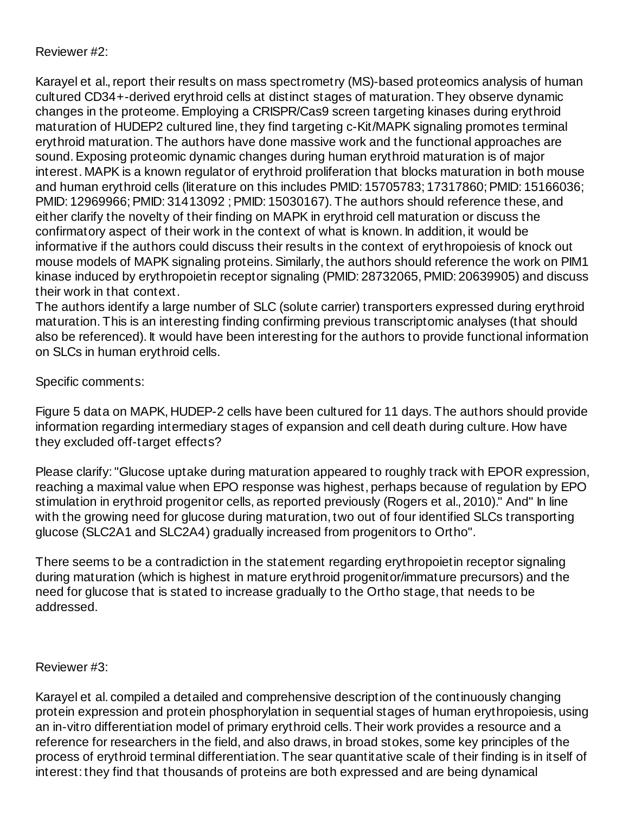# Reviewer #2:

Karayel et al., report their results on mass spectrometry (MS)-based proteomics analysis of human cultured CD34+-derived erythroid cells at distinct stages of maturation. They observe dynamic changes in the proteome.Employing a CRISPR/Cas9 screen targeting kinases during erythroid maturation of HUDEP2 cultured line, they find targeting c-Kit/MAPK signaling promotes terminal erythroid maturation. The authors have done massive work and the functional approaches are sound.Exposing proteomic dynamic changes during human erythroid maturation is of major interest. MAPK is a known regulator of erythroid proliferation that blocks maturation in both mouse and human erythroid cells (literature on this includes PMID: 15705783; 17317860;PMID: 15166036; PMID: 12969966;PMID: 31413092 ;PMID: 15030167). The authors should reference these, and either clarify the novelty of their finding on MAPK in erythroid cell maturation or discuss the confirmatory aspect of their work in the context of what is known. In addition, it would be informative if the authors could discuss their results in the context of erythropoiesis of knock out mouse models of MAPK signaling proteins. Similarly, the authors should reference the work on PIM1 kinase induced by erythropoietin receptor signaling (PMID: 28732065, PMID: 20639905) and discuss their work in that context.

The authors identify a large number of SLC (solute carrier) transporters expressed during erythroid maturation. This is an interesting finding confirming previous transcriptomic analyses (that should also be referenced). It would have been interesting for the authors to provide functional information on SLCs in human erythroid cells.

# Specific comments:

Figure 5 data on MAPK, HUDEP-2 cells have been cultured for 11 days. The authors should provide information regarding intermediary stages of expansion and cell death during culture. How have they excluded off-target effects?

Please clarify:"Glucose uptake during maturation appeared to roughly track with EPOR expression, reaching a maximal value when EPO response was highest, perhaps because of regulation by EPO stimulation in erythroid progenitor cells, as reported previously (Rogers et al., 2010)." And" In line with the growing need for glucose during maturation, two out of four identified SLCs transporting glucose (SLC2A1 and SLC2A4) gradually increased from progenitors to Ortho".

There seems to be a contradiction in the statement regarding erythropoietin receptor signaling during maturation (which is highest in mature erythroid progenitor/immature precursors) and the need for glucose that is stated to increase gradually to the Ortho stage, that needs to be addressed.

# Reviewer #3:

Karayel et al. compiled a detailed and comprehensive description of the continuously changing protein expression and protein phosphorylation in sequential stages of human erythropoiesis, using an in-vitro differentiation model of primary erythroid cells. Their work provides a resource and a reference for researchers in the field, and also draws, in broad stokes, some key principles of the process of erythroid terminal differentiation. The sear quantitative scale of their finding is in itself of interest: they find that thousands of proteins are both expressed and are being dynamical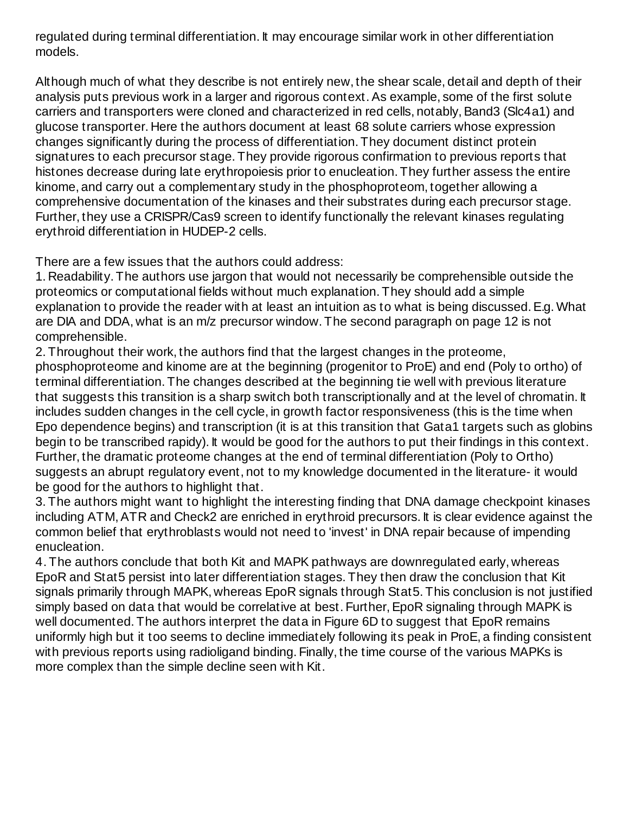regulated during terminal differentiation. It may encourage similar work in other differentiation models.

Although much of what they describe is not entirely new, the shear scale, detail and depth of their analysis puts previous work in a larger and rigorous context. As example, some of the first solute carriers and transporters were cloned and characterized in red cells, notably, Band3 (Slc4a1) and glucose transporter. Here the authors document at least 68 solute carriers whose expression changes significantly during the process of differentiation. They document distinct protein signatures to each precursor stage. They provide rigorous confirmation to previous reports that histones decrease during late erythropoiesis prior to enucleation. They further assess the entire kinome, and carry out a complementary study in the phosphoproteom, together allowing a comprehensive documentation of the kinases and their substrates during each precursor stage. Further, they use a CRISPR/Cas9 screen to identify functionally the relevant kinases regulating erythroid differentiation in HUDEP-2 cells.

There are a few issues that the authors could address:

1. Readability. The authors use jargon that would not necessarily be comprehensible outside the proteomics or computational fields without much explanation. They should add a simple explanation to provide the reader with at least an intuition as to what is being discussed. E.g. What are DIA and DDA, what is an m/z precursor window. The second paragraph on page 12 is not comprehensible.

2. Throughout their work, the authors find that the largest changes in the proteome, phosphoproteome and kinome are at the beginning (progenitor to ProE) and end (Poly to ortho) of terminal differentiation. The changes described at the beginning tie well with previous literature that suggests this transition is a sharp switch both transcriptionally and at the level of chromatin. It includes sudden changes in the cell cycle, in growth factor responsiveness (this is the time when Epo dependence begins) and transcription (it is at this transition that Gata1 targets such as globins begin to be transcribed rapidy). It would be good for the authors to put their findings in this context. Further, the dramatic proteome changes at the end of terminal differentiation (Poly to Ortho) suggests an abrupt regulatory event, not to my knowledge documented in the literature- it would be good for the authors to highlight that.

3. The authors might want to highlight the interesting finding that DNA damage checkpoint kinases including ATM, ATR and Check2 are enriched in erythroid precursors. It is clear evidence against the common belief that erythroblasts would not need to 'invest' in DNA repair because of impending enucleation.

4. The authors conclude that both Kit and MAPK pathways are downregulated early, whereas EpoR and Stat5 persist into later differentiation stages. They then draw the conclusion that Kit signals primarily through MAPK, whereas EpoR signals through Stat5. This conclusion is not justified simply based on data that would be correlative at best. Further, EpoR signaling through MAPK is well documented. The authors interpret the data in Figure 6D to suggest that EpoR remains uniformly high but it too seems to decline immediately following its peak in ProE, a finding consistent with previous reports using radioligand binding. Finally, the time course of the various MAPKs is more complex than the simple decline seen with Kit.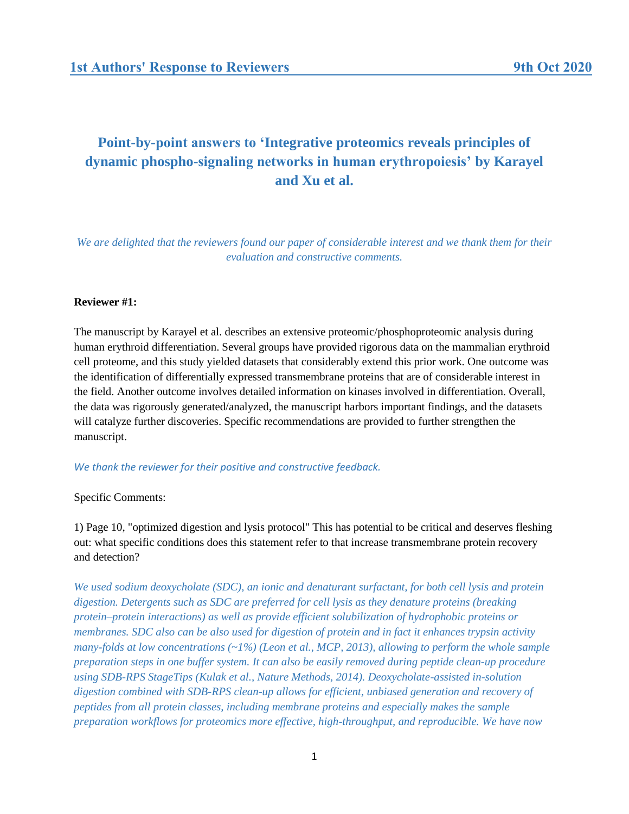# **Point-by-point answers to 'Integrative proteomics reveals principles of dynamic phospho-signaling networks in human erythropoiesis' by Karayel and Xu et al.**

*We are delighted that the reviewers found our paper of considerable interest and we thank them for their evaluation and constructive comments.*

### **Reviewer #1:**

The manuscript by Karayel et al. describes an extensive proteomic/phosphoproteomic analysis during human erythroid differentiation. Several groups have provided rigorous data on the mammalian erythroid cell proteome, and this study yielded datasets that considerably extend this prior work. One outcome was the identification of differentially expressed transmembrane proteins that are of considerable interest in the field. Another outcome involves detailed information on kinases involved in differentiation. Overall, the data was rigorously generated/analyzed, the manuscript harbors important findings, and the datasets will catalyze further discoveries. Specific recommendations are provided to further strengthen the manuscript.

### *We thank the reviewer for their positive and constructive feedback.*

Specific Comments:

1) Page 10, "optimized digestion and lysis protocol" This has potential to be critical and deserves fleshing out: what specific conditions does this statement refer to that increase transmembrane protein recovery and detection?

*We used sodium deoxycholate (SDC), an ionic and denaturant surfactant, for both cell lysis and protein digestion. Detergents such as SDC are preferred for cell lysis as they denature proteins (breaking protein–protein interactions) as well as provide efficient solubilization of hydrophobic proteins or membranes. SDC also can be also used for digestion of protein and in fact it enhances trypsin activity many-folds at low concentrations (~1%) (Leon et al., MCP, 2013), allowing to perform the whole sample preparation steps in one buffer system. It can also be easily removed during peptide clean-up procedure using SDB-RPS StageTips (Kulak et al., Nature Methods, 2014). Deoxycholate-assisted in-solution digestion combined with SDB-RPS clean-up allows for efficient, unbiased generation and recovery of peptides from all protein classes, including membrane proteins and especially makes the sample preparation workflows for proteomics more effective, high-throughput, and reproducible. We have now*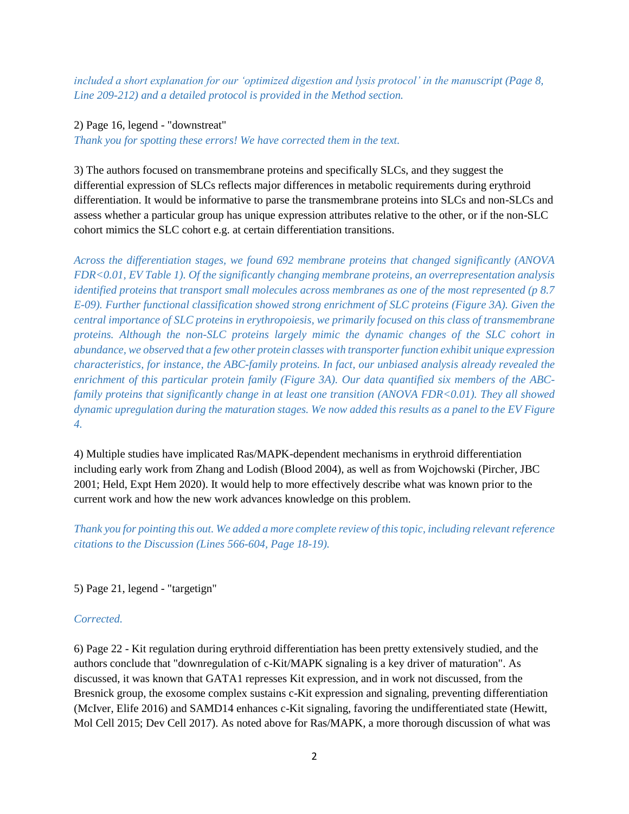*included a short explanation for our 'optimized digestion and lysis protocol' in the manuscript (Page 8, Line 209-212) and a detailed protocol is provided in the Method section.*

## 2) Page 16, legend - "downstreat"

*Thank you for spotting these errors! We have corrected them in the text.*

3) The authors focused on transmembrane proteins and specifically SLCs, and they suggest the differential expression of SLCs reflects major differences in metabolic requirements during erythroid differentiation. It would be informative to parse the transmembrane proteins into SLCs and non-SLCs and assess whether a particular group has unique expression attributes relative to the other, or if the non-SLC cohort mimics the SLC cohort e.g. at certain differentiation transitions.

*Across the differentiation stages, we found 692 membrane proteins that changed significantly (ANOVA FDR<0.01, EV Table 1). Of the significantly changing membrane proteins, an overrepresentation analysis identified proteins that transport small molecules across membranes as one of the most represented (p 8.7 E-09). Further functional classification showed strong enrichment of SLC proteins (Figure 3A). Given the central importance of SLC proteins in erythropoiesis, we primarily focused on this class of transmembrane proteins. Although the non-SLC proteins largely mimic the dynamic changes of the SLC cohort in abundance, we observed that a few other protein classes with transporter function exhibit unique expression characteristics, for instance, the ABC-family proteins. In fact, our unbiased analysis already revealed the enrichment of this particular protein family (Figure 3A). Our data quantified six members of the ABCfamily proteins that significantly change in at least one transition (ANOVA FDR<0.01). They all showed dynamic upregulation during the maturation stages. We now added this results as a panel to the EV Figure 4.*

4) Multiple studies have implicated Ras/MAPK-dependent mechanisms in erythroid differentiation including early work from Zhang and Lodish (Blood 2004), as well as from Wojchowski (Pircher, JBC 2001; Held, Expt Hem 2020). It would help to more effectively describe what was known prior to the current work and how the new work advances knowledge on this problem.

*Thank you for pointing this out. We added a more complete review of this topic, including relevant reference citations to the Discussion (Lines 566-604, Page 18-19).*

5) Page 21, legend - "targetign"

# *Corrected.*

6) Page 22 - Kit regulation during erythroid differentiation has been pretty extensively studied, and the authors conclude that "downregulation of c-Kit/MAPK signaling is a key driver of maturation". As discussed, it was known that GATA1 represses Kit expression, and in work not discussed, from the Bresnick group, the exosome complex sustains c-Kit expression and signaling, preventing differentiation (McIver, Elife 2016) and SAMD14 enhances c-Kit signaling, favoring the undifferentiated state (Hewitt, Mol Cell 2015; Dev Cell 2017). As noted above for Ras/MAPK, a more thorough discussion of what was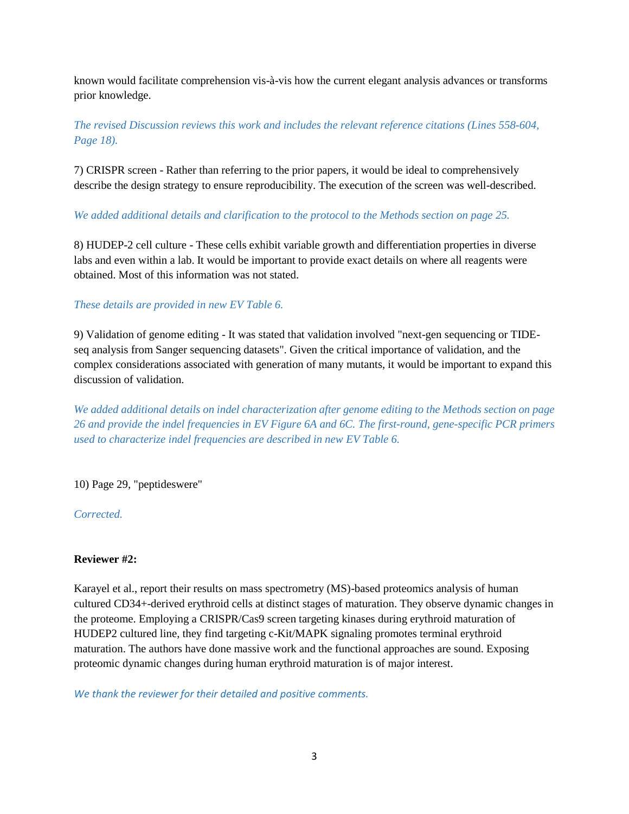known would facilitate comprehension vis-à-vis how the current elegant analysis advances or transforms prior knowledge.

*The revised Discussion reviews this work and includes the relevant reference citations (Lines 558-604, Page 18).*

7) CRISPR screen - Rather than referring to the prior papers, it would be ideal to comprehensively describe the design strategy to ensure reproducibility. The execution of the screen was well-described.

*We added additional details and clarification to the protocol to the Methods section on page 25.*

8) HUDEP-2 cell culture - These cells exhibit variable growth and differentiation properties in diverse labs and even within a lab. It would be important to provide exact details on where all reagents were obtained. Most of this information was not stated.

# *These details are provided in new EV Table 6.*

9) Validation of genome editing - It was stated that validation involved "next-gen sequencing or TIDEseq analysis from Sanger sequencing datasets". Given the critical importance of validation, and the complex considerations associated with generation of many mutants, it would be important to expand this discussion of validation.

*We added additional details on indel characterization after genome editing to the Methods section on page 26 and provide the indel frequencies in EV Figure 6A and 6C. The first-round, gene-specific PCR primers used to characterize indel frequencies are described in new EV Table 6.*

10) Page 29, "peptideswere"

*Corrected.*

## **Reviewer #2:**

Karayel et al., report their results on mass spectrometry (MS)-based proteomics analysis of human cultured CD34+-derived erythroid cells at distinct stages of maturation. They observe dynamic changes in the proteome. Employing a CRISPR/Cas9 screen targeting kinases during erythroid maturation of HUDEP2 cultured line, they find targeting c-Kit/MAPK signaling promotes terminal erythroid maturation. The authors have done massive work and the functional approaches are sound. Exposing proteomic dynamic changes during human erythroid maturation is of major interest.

*We thank the reviewer for their detailed and positive comments.*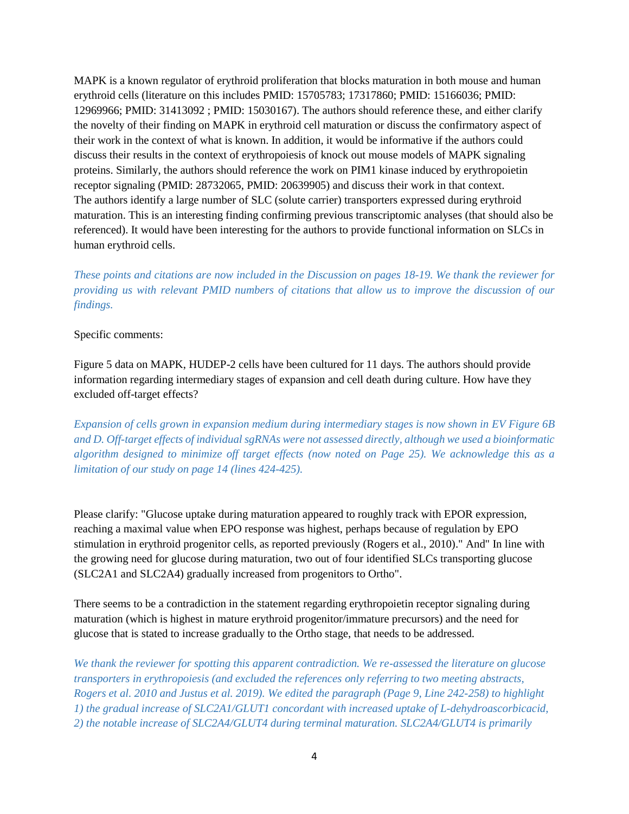MAPK is a known regulator of erythroid proliferation that blocks maturation in both mouse and human erythroid cells (literature on this includes PMID: 15705783; 17317860; PMID: 15166036; PMID: 12969966; PMID: 31413092 ; PMID: 15030167). The authors should reference these, and either clarify the novelty of their finding on MAPK in erythroid cell maturation or discuss the confirmatory aspect of their work in the context of what is known. In addition, it would be informative if the authors could discuss their results in the context of erythropoiesis of knock out mouse models of MAPK signaling proteins. Similarly, the authors should reference the work on PIM1 kinase induced by erythropoietin receptor signaling (PMID: 28732065, PMID: 20639905) and discuss their work in that context. The authors identify a large number of SLC (solute carrier) transporters expressed during erythroid maturation. This is an interesting finding confirming previous transcriptomic analyses (that should also be referenced). It would have been interesting for the authors to provide functional information on SLCs in human erythroid cells.

*These points and citations are now included in the Discussion on pages 18-19. We thank the reviewer for providing us with relevant PMID numbers of citations that allow us to improve the discussion of our findings.*

Specific comments:

Figure 5 data on MAPK, HUDEP-2 cells have been cultured for 11 days. The authors should provide information regarding intermediary stages of expansion and cell death during culture. How have they excluded off-target effects?

*Expansion of cells grown in expansion medium during intermediary stages is now shown in EV Figure 6B and D. Off-target effects of individual sgRNAs were not assessed directly, although we used a bioinformatic algorithm designed to minimize off target effects (now noted on Page 25). We acknowledge this as a limitation of our study on page 14 (lines 424-425).*

Please clarify: "Glucose uptake during maturation appeared to roughly track with EPOR expression, reaching a maximal value when EPO response was highest, perhaps because of regulation by EPO stimulation in erythroid progenitor cells, as reported previously (Rogers et al., 2010)." And" In line with the growing need for glucose during maturation, two out of four identified SLCs transporting glucose (SLC2A1 and SLC2A4) gradually increased from progenitors to Ortho".

There seems to be a contradiction in the statement regarding erythropoietin receptor signaling during maturation (which is highest in mature erythroid progenitor/immature precursors) and the need for glucose that is stated to increase gradually to the Ortho stage, that needs to be addressed.

*We thank the reviewer for spotting this apparent contradiction. We re-assessed the literature on glucose transporters in erythropoiesis (and excluded the references only referring to two meeting abstracts, Rogers et al. 2010 and Justus et al. 2019). We edited the paragraph (Page 9, Line 242-258) to highlight 1) the gradual increase of SLC2A1/GLUT1 concordant with increased uptake of L-dehydroascorbicacid, 2) the notable increase of SLC2A4/GLUT4 during terminal maturation. SLC2A4/GLUT4 is primarily*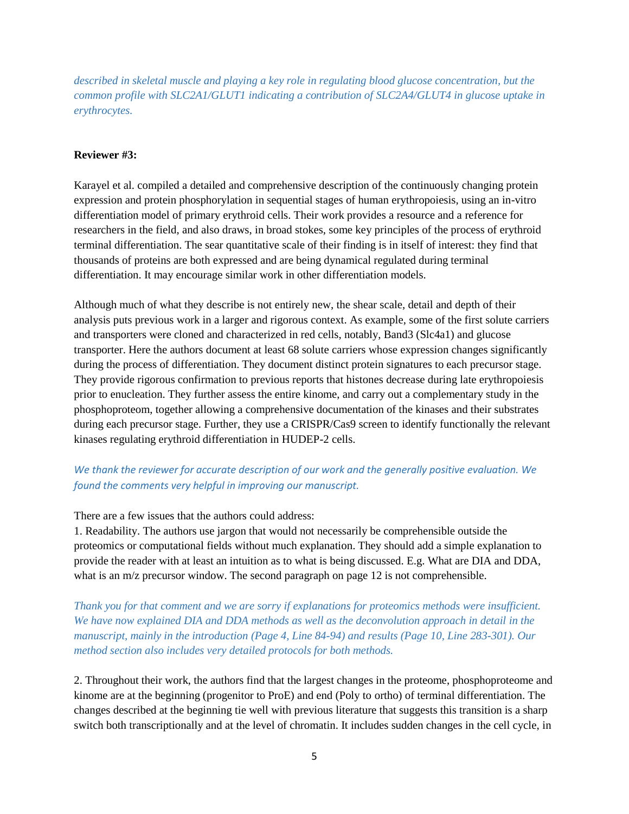*described in skeletal muscle and playing a key role in regulating blood glucose concentration, but the common profile with SLC2A1/GLUT1 indicating a contribution of SLC2A4/GLUT4 in glucose uptake in erythrocytes.*

### **Reviewer #3:**

Karayel et al. compiled a detailed and comprehensive description of the continuously changing protein expression and protein phosphorylation in sequential stages of human erythropoiesis, using an in-vitro differentiation model of primary erythroid cells. Their work provides a resource and a reference for researchers in the field, and also draws, in broad stokes, some key principles of the process of erythroid terminal differentiation. The sear quantitative scale of their finding is in itself of interest: they find that thousands of proteins are both expressed and are being dynamical regulated during terminal differentiation. It may encourage similar work in other differentiation models.

Although much of what they describe is not entirely new, the shear scale, detail and depth of their analysis puts previous work in a larger and rigorous context. As example, some of the first solute carriers and transporters were cloned and characterized in red cells, notably, Band3 (Slc4a1) and glucose transporter. Here the authors document at least 68 solute carriers whose expression changes significantly during the process of differentiation. They document distinct protein signatures to each precursor stage. They provide rigorous confirmation to previous reports that histones decrease during late erythropoiesis prior to enucleation. They further assess the entire kinome, and carry out a complementary study in the phosphoproteom, together allowing a comprehensive documentation of the kinases and their substrates during each precursor stage. Further, they use a CRISPR/Cas9 screen to identify functionally the relevant kinases regulating erythroid differentiation in HUDEP-2 cells.

# *We thank the reviewer for accurate description of our work and the generally positive evaluation. We found the comments very helpful in improving our manuscript.*

### There are a few issues that the authors could address:

1. Readability. The authors use jargon that would not necessarily be comprehensible outside the proteomics or computational fields without much explanation. They should add a simple explanation to provide the reader with at least an intuition as to what is being discussed. E.g. What are DIA and DDA, what is an m/z precursor window. The second paragraph on page 12 is not comprehensible.

*Thank you for that comment and we are sorry if explanations for proteomics methods were insufficient. We have now explained DIA and DDA methods as well as the deconvolution approach in detail in the manuscript, mainly in the introduction (Page 4, Line 84-94) and results (Page 10, Line 283-301). Our method section also includes very detailed protocols for both methods.* 

2. Throughout their work, the authors find that the largest changes in the proteome, phosphoproteome and kinome are at the beginning (progenitor to ProE) and end (Poly to ortho) of terminal differentiation. The changes described at the beginning tie well with previous literature that suggests this transition is a sharp switch both transcriptionally and at the level of chromatin. It includes sudden changes in the cell cycle, in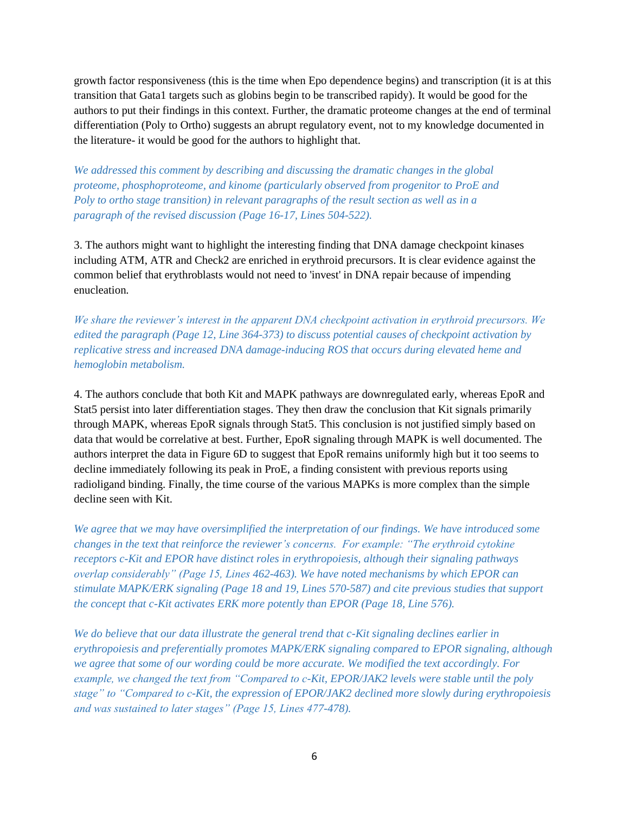growth factor responsiveness (this is the time when Epo dependence begins) and transcription (it is at this transition that Gata1 targets such as globins begin to be transcribed rapidy). It would be good for the authors to put their findings in this context. Further, the dramatic proteome changes at the end of terminal differentiation (Poly to Ortho) suggests an abrupt regulatory event, not to my knowledge documented in the literature- it would be good for the authors to highlight that.

*We addressed this comment by describing and discussing the dramatic changes in the global proteome, phosphoproteome, and kinome (particularly observed from progenitor to ProE and Poly to ortho stage transition) in relevant paragraphs of the result section as well as in a paragraph of the revised discussion (Page 16-17, Lines 504-522).*

3. The authors might want to highlight the interesting finding that DNA damage checkpoint kinases including ATM, ATR and Check2 are enriched in erythroid precursors. It is clear evidence against the common belief that erythroblasts would not need to 'invest' in DNA repair because of impending enucleation.

*We share the reviewer's interest in the apparent DNA checkpoint activation in erythroid precursors. We edited the paragraph (Page 12, Line 364-373) to discuss potential causes of checkpoint activation by replicative stress and increased DNA damage-inducing ROS that occurs during elevated heme and hemoglobin metabolism.*

4. The authors conclude that both Kit and MAPK pathways are downregulated early, whereas EpoR and Stat5 persist into later differentiation stages. They then draw the conclusion that Kit signals primarily through MAPK, whereas EpoR signals through Stat5. This conclusion is not justified simply based on data that would be correlative at best. Further, EpoR signaling through MAPK is well documented. The authors interpret the data in Figure 6D to suggest that EpoR remains uniformly high but it too seems to decline immediately following its peak in ProE, a finding consistent with previous reports using radioligand binding. Finally, the time course of the various MAPKs is more complex than the simple decline seen with Kit.

*We agree that we may have oversimplified the interpretation of our findings. We have introduced some changes in the text that reinforce the reviewer's concerns. For example: "The erythroid cytokine receptors c-Kit and EPOR have distinct roles in erythropoiesis, although their signaling pathways overlap considerably" (Page 15, Lines 462-463). We have noted mechanisms by which EPOR can stimulate MAPK/ERK signaling (Page 18 and 19, Lines 570-587) and cite previous studies that support the concept that c-Kit activates ERK more potently than EPOR (Page 18, Line 576).* 

*We do believe that our data illustrate the general trend that c-Kit signaling declines earlier in erythropoiesis and preferentially promotes MAPK/ERK signaling compared to EPOR signaling, although we agree that some of our wording could be more accurate. We modified the text accordingly. For example, we changed the text from "Compared to c-Kit, EPOR/JAK2 levels were stable until the poly stage" to "Compared to c-Kit, the expression of EPOR/JAK2 declined more slowly during erythropoiesis and was sustained to later stages" (Page 15, Lines 477-478).*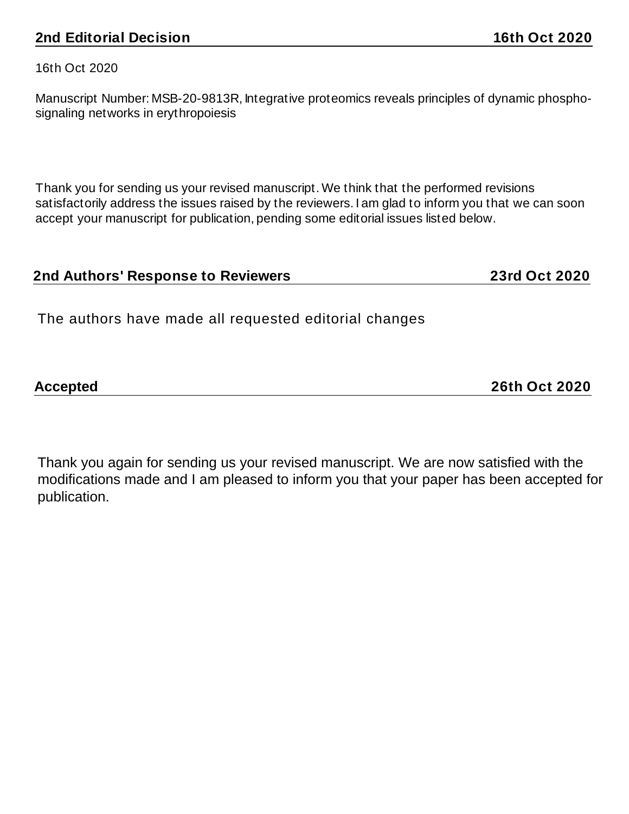16th Oct 2020

Manuscript Number: MSB-20-9813R, Integrative proteomics reveals principles of dynamic phosphosignaling networks in erythropoiesis

Thank you for sending us your revised manuscript. We think that the performed revisions satisfactorily address the issues raised by the reviewers. I am glad to inform you that we can soon accept your manuscript for publication, pending some editorial issues listed below.

# **2nd Authors' Response to Reviewers 23rd Oct 2020**

The authors have made all requested editorial changes

**Accepted 26th Oct 2020**

Thank you again for sending us your revised manuscript. We are now satisfied with the modifications made and I am pleased to inform you that your paper has been accepted for publication.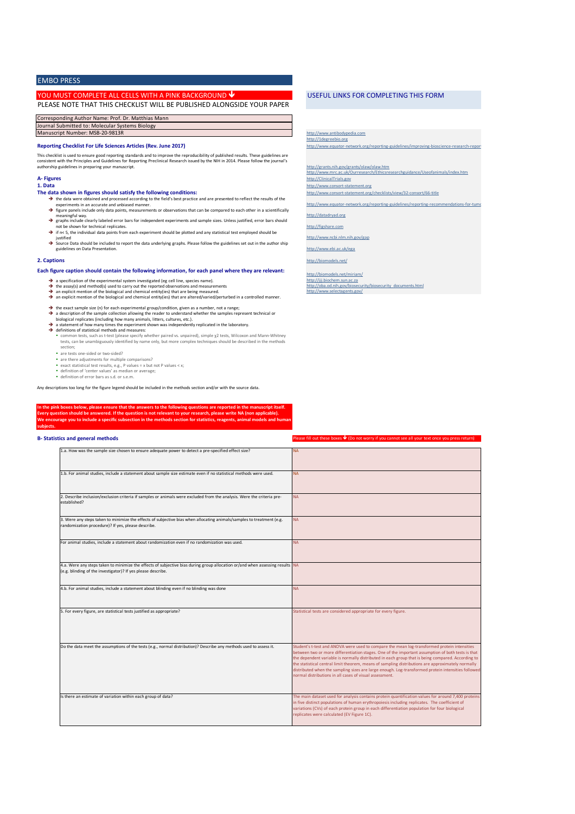### EMBO PRESS

### YOU MUST COMPLETE ALL CELLS WITH A PINK BACKGROUND

PLEASE NOTE THAT THIS CHECKLIST WILL BE PUBLISHED ALONGSIDE YOUR PAPER

| Corresponding Author Name: Prof. Dr. Matthias Mann |
|----------------------------------------------------|
| Journal Submitted to: Molecular Systems Biology    |
| Manuscript Number: MSB-20-9813R                    |

### **Reporting Checklist For Life Sciences Articles (Rev. June 2017)**

This checklist is used to ensure good reporting standards and to improve the reproducibility of published results. These guidelines are<br>consistent with the Principles and Guidelines for Reporting Preclinical Research issue authorship guidelines in preparing your manuscript.

### **A- Figures 1. Data**

### **The data shown in figures should satisfy the following conditions:**

- è the data were obtained and processed according to the field's best practice and are presented to reflect the results of the<br>experiments in an accurate and unbiased manner.<br>figure panels include only data points, measuremen
- è meaningful way.<br>→ graphs include clearly labeled error bars for independent experiments and sample sizes. Unless justified, error bars should
- not be shown for technical replicates.
- → if n< 5, the individual data points from each experiment should be plotted and any statistical test employed should be
- iustified<br>→ Source Data should be included to report the data underlying graphs. Please follow the guidelines set out in the author ship guidelines on Data Presentation

### **2. Captions**

- **Each figure caption should contain the following information, for each panel where they are relevant:**
	- a specification of the experimental system investigated (eg cell line, species name).
	-
	- → a specification of the experimental system investigated (eg cell line, species name).<br>
	→ the assay(s) and method(s) used to carry out the reported observations and measurements<br>
	→ an explicit mention of the biological a the assay(s) and method(s) used to carry out the reported observations and measurements<br>an explicit mention of the biological and chemical entity(ies) that are being measured.<br>an explicit mention of the biological and chem
	- è è a description of the sample collection allowing the reader to understand whether the samples represent technical or<br>biological replicates (including how many animals, litters, cultures, etc.). the exact sample size (n) for each experimental group/condition, given as a number, not a range;
	- a statement of how many times the experiment shown was independently replicated in the laboratory. definitions of statistical methods and measures:
	- → a statement of how many times the experiment shown was independently replicated in the laboratory.<br>
	→ definitions of statistical methods and measures:<br>
	 common tests, such as t-test (please specify whether paired vs. u
		- are tests one-sided or two-sided?
		- are there adjustments for multiple comparisons?
		- exact statistical test results, e.g., P values = x but not P values < x;<br>• definition of 'center values' as median or average;<br>• definition of error bars as s.d. or s.e.m.
	-

Any descriptions too long for the figure legend should be included in the methods section and/or with the source data.

**If the pink boxes below, please ensure that the answers to the following questions are reported in the manuscript** Every question should be answered. If the question is not relevant to your research, please write NA (non applicable).<br>We encourage you to include a specific subsection in the methods section for statistics, reagents, anim **subjects.** 

### **B- Statistics and general methods**

| 1.a. How was the sample size chosen to ensure adequate power to detect a pre-specified effect size?                                                                                           | <b>NA</b>                                                                                                                                                                                                                                                                                                                                                                                                                                                                                                                                                                    |
|-----------------------------------------------------------------------------------------------------------------------------------------------------------------------------------------------|------------------------------------------------------------------------------------------------------------------------------------------------------------------------------------------------------------------------------------------------------------------------------------------------------------------------------------------------------------------------------------------------------------------------------------------------------------------------------------------------------------------------------------------------------------------------------|
| 1.b. For animal studies, include a statement about sample size estimate even if no statistical methods were used.                                                                             | NA.                                                                                                                                                                                                                                                                                                                                                                                                                                                                                                                                                                          |
| 2. Describe inclusion/exclusion criteria if samples or animals were excluded from the analysis. Were the criteria pre-<br>established?                                                        | <b>NA</b>                                                                                                                                                                                                                                                                                                                                                                                                                                                                                                                                                                    |
| 3. Were any steps taken to minimize the effects of subjective bias when allocating animals/samples to treatment (e.g.<br>randomization procedure)? If yes, please describe.                   | <b>NA</b>                                                                                                                                                                                                                                                                                                                                                                                                                                                                                                                                                                    |
| For animal studies, include a statement about randomization even if no randomization was used.                                                                                                | <b>NA</b>                                                                                                                                                                                                                                                                                                                                                                                                                                                                                                                                                                    |
| 4.a. Were any steps taken to minimize the effects of subjective bias during group allocation or/and when assessing results NA<br>(e.g. blinding of the investigator)? If yes please describe. |                                                                                                                                                                                                                                                                                                                                                                                                                                                                                                                                                                              |
| 4.b. For animal studies, include a statement about blinding even if no blinding was done                                                                                                      | <b>NA</b>                                                                                                                                                                                                                                                                                                                                                                                                                                                                                                                                                                    |
| 5. For every figure, are statistical tests justified as appropriate?                                                                                                                          | Statistical tests are considered appropriate for every figure.                                                                                                                                                                                                                                                                                                                                                                                                                                                                                                               |
| Do the data meet the assumptions of the tests (e.g., normal distribution)? Describe any methods used to assess it.                                                                            | Student's t-test and ANOVA were used to compare the mean log-transformed protein intensities<br>between two or more differentiation stages. One of the important assumption of both tests is that<br>the dependent variable is normally distributed in each group that is being compared. According to<br>the statistical central limit theorem, means of sampling distributions are approximately normally<br>distributed when the sampling sizes are large enough. Log-transformed protein intensities followed<br>normal distributions in all cases of visual assessment. |
| Is there an estimate of variation within each group of data?                                                                                                                                  | The main dataset used for analysis contains protein quantification values for around 7,400 proteins<br>in five distinct populations of human erythropoiesis including replicates. The coefficient of<br>variations (CVs) of each protein group in each differentiation population for four biological<br>replicates were calculated (EV Figure 1C).                                                                                                                                                                                                                          |

### USEFUL LINKS FOR COMPLETING THIS FORM

http://www.antibodypedia.com http://1degreebio.org http://www.equator-network.org/reporting-guidelines/improving-bioscience-research-reportinghttp://grants.nih.gov/grants/olaw/olaw.htm http://www.mrc.ac.uk/Ourresearch/Ethicsresearchguidance/Useofanimals/index.htm http://ClinicalTrials.gov http://www.consort-statement.org http://www.consort-statement.org/checklists/view/32-consort/66-title http://www.equator-network.org/reporting-guidelines/reporting-recommendations-for-tumo http://datadryad.org http://figshare.com http://www.ncbi.nlm.nih.gov/gap http://www.ebi.ac.uk/ega

 $\frac{1}{2}$  Fill out these boxes  $\bigvee$  (Do not worry if you cannot see all your text once you press return)

http://biomodels.net/

http://biomodels.net/miriam/<br>http://jij.biochem.sun.ac.za